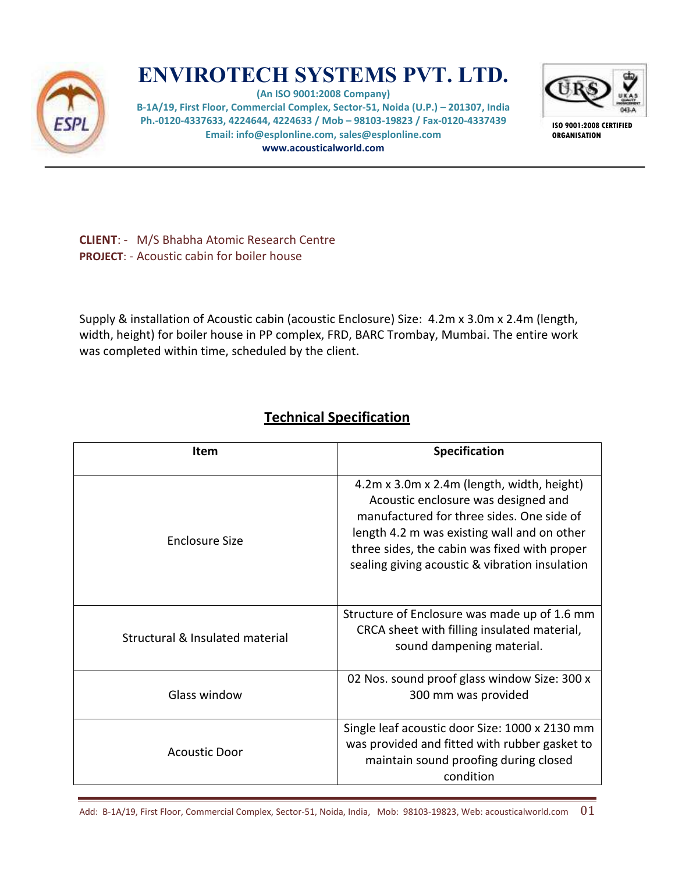

## **ENVIROTECH SYSTEMS PVT. LTD.**

**(An ISO 9001:2008 Company) B-1A/19, First Floor, Commercial Complex, Sector-51, Noida (U.P.) – 201307, India Ph.-0120-4337633, 4224644, 4224633 / Mob – 98103-19823 / Fax-0120-4337439 Email: info@esplonline.com, sales@esplonline.com www.acousticalworld.com** 



**ISO 9001:2008 CERTIFIED ORGANISATION** 

**CLIENT**: - M/S Bhabha Atomic Research Centre **PROJECT**: - Acoustic cabin for boiler house

Supply & installation of Acoustic cabin (acoustic Enclosure) Size: 4.2m x 3.0m x 2.4m (length, width, height) for boiler house in PP complex, FRD, BARC Trombay, Mumbai. The entire work was completed within time, scheduled by the client.

## **Technical Specification**

| Item                            | <b>Specification</b>                                                                                                                                                                                                                                                            |
|---------------------------------|---------------------------------------------------------------------------------------------------------------------------------------------------------------------------------------------------------------------------------------------------------------------------------|
| <b>Enclosure Size</b>           | 4.2m x 3.0m x 2.4m (length, width, height)<br>Acoustic enclosure was designed and<br>manufactured for three sides. One side of<br>length 4.2 m was existing wall and on other<br>three sides, the cabin was fixed with proper<br>sealing giving acoustic & vibration insulation |
| Structural & Insulated material | Structure of Enclosure was made up of 1.6 mm<br>CRCA sheet with filling insulated material,<br>sound dampening material.                                                                                                                                                        |
| Glass window                    | 02 Nos. sound proof glass window Size: 300 x<br>300 mm was provided                                                                                                                                                                                                             |
| <b>Acoustic Door</b>            | Single leaf acoustic door Size: 1000 x 2130 mm<br>was provided and fitted with rubber gasket to<br>maintain sound proofing during closed<br>condition                                                                                                                           |

Add: B-1A/19, First Floor, Commercial Complex, Sector-51, Noida, India, Mob: 98103-19823, Web: acousticalworld.com  $01$